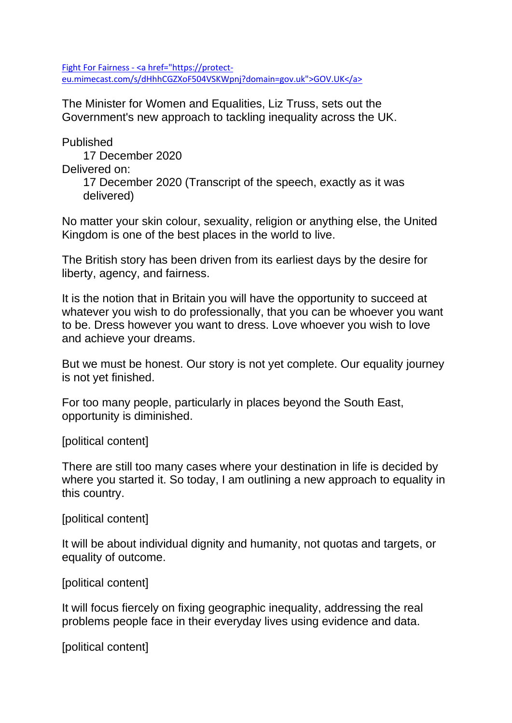Fight For Fairness - [<a href="https://protect](file:///C:/Users/colin.davidson.EDWARDSDUTHIE/AppData/Local/Microsoft/Windows/INetCache/Content.Outlook/74DWGP11/Fight%20For%20Fairness%20-%20GOV.UK.htm)[eu.mimecast.com/s/dHhhCGZXoF504VSKWpnj?domain=gov.uk">GOV.UK</a>](file:///C:/Users/colin.davidson.EDWARDSDUTHIE/AppData/Local/Microsoft/Windows/INetCache/Content.Outlook/74DWGP11/Fight%20For%20Fairness%20-%20GOV.UK.htm)

The Minister for Women and Equalities, Liz Truss, sets out the Government's new approach to tackling inequality across the UK.

Published

17 December 2020 Delivered on: 17 December 2020 (Transcript of the speech, exactly as it was delivered)

No matter your skin colour, sexuality, religion or anything else, the United Kingdom is one of the best places in the world to live.

The British story has been driven from its earliest days by the desire for liberty, agency, and fairness.

It is the notion that in Britain you will have the opportunity to succeed at whatever you wish to do professionally, that you can be whoever you want to be. Dress however you want to dress. Love whoever you wish to love and achieve your dreams.

But we must be honest. Our story is not yet complete. Our equality journey is not yet finished.

For too many people, particularly in places beyond the South East, opportunity is diminished.

[political content]

There are still too many cases where your destination in life is decided by where you started it. So today, I am outlining a new approach to equality in this country.

[political content]

It will be about individual dignity and humanity, not quotas and targets, or equality of outcome.

[political content]

It will focus fiercely on fixing geographic inequality, addressing the real problems people face in their everyday lives using evidence and data.

[political content]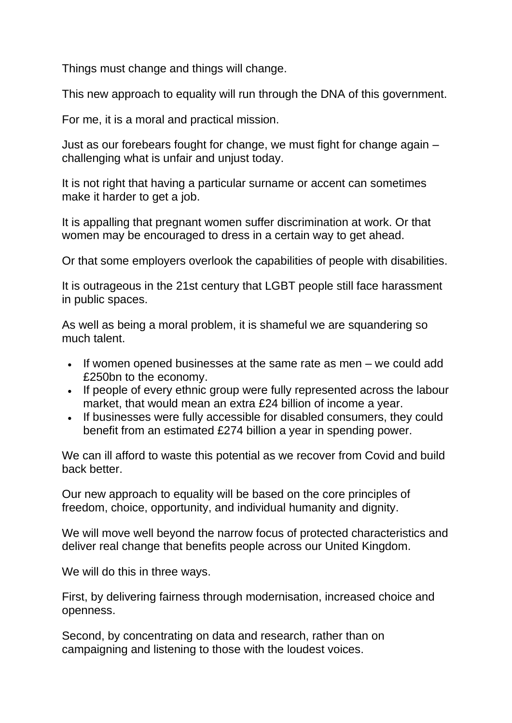Things must change and things will change.

This new approach to equality will run through the DNA of this government.

For me, it is a moral and practical mission.

Just as our forebears fought for change, we must fight for change again – challenging what is unfair and unjust today.

It is not right that having a particular surname or accent can sometimes make it harder to get a job.

It is appalling that pregnant women suffer discrimination at work. Or that women may be encouraged to dress in a certain way to get ahead.

Or that some employers overlook the capabilities of people with disabilities.

It is outrageous in the 21st century that LGBT people still face harassment in public spaces.

As well as being a moral problem, it is shameful we are squandering so much talent.

- If women opened businesses at the same rate as men we could add £250bn to the economy.
- If people of every ethnic group were fully represented across the labour market, that would mean an extra £24 billion of income a year.
- If businesses were fully accessible for disabled consumers, they could benefit from an estimated £274 billion a year in spending power.

We can ill afford to waste this potential as we recover from Covid and build back better.

Our new approach to equality will be based on the core principles of freedom, choice, opportunity, and individual humanity and dignity.

We will move well beyond the narrow focus of protected characteristics and deliver real change that benefits people across our United Kingdom.

We will do this in three ways.

First, by delivering fairness through modernisation, increased choice and openness.

Second, by concentrating on data and research, rather than on campaigning and listening to those with the loudest voices.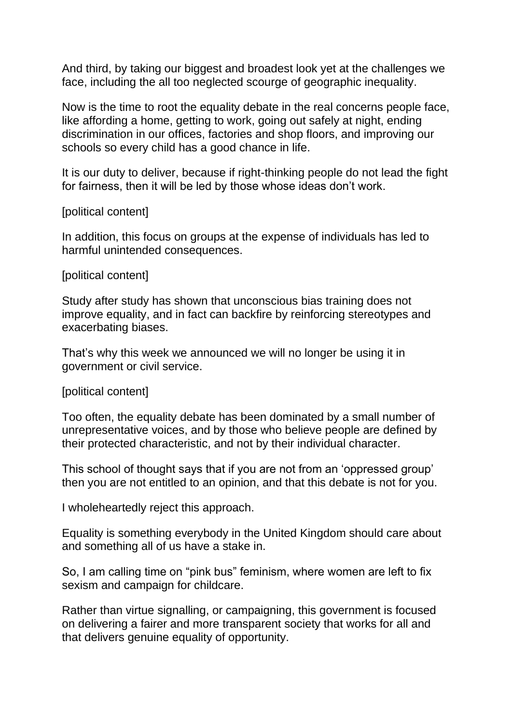And third, by taking our biggest and broadest look yet at the challenges we face, including the all too neglected scourge of geographic inequality.

Now is the time to root the equality debate in the real concerns people face, like affording a home, getting to work, going out safely at night, ending discrimination in our offices, factories and shop floors, and improving our schools so every child has a good chance in life.

It is our duty to deliver, because if right-thinking people do not lead the fight for fairness, then it will be led by those whose ideas don't work.

## [political content]

In addition, this focus on groups at the expense of individuals has led to harmful unintended consequences.

## [political content]

Study after study has shown that unconscious bias training does not improve equality, and in fact can backfire by reinforcing stereotypes and exacerbating biases.

That's why this week we announced we will no longer be using it in government or civil service.

## [political content]

Too often, the equality debate has been dominated by a small number of unrepresentative voices, and by those who believe people are defined by their protected characteristic, and not by their individual character.

This school of thought says that if you are not from an 'oppressed group' then you are not entitled to an opinion, and that this debate is not for you.

I wholeheartedly reject this approach.

Equality is something everybody in the United Kingdom should care about and something all of us have a stake in.

So, I am calling time on "pink bus" feminism, where women are left to fix sexism and campaign for childcare.

Rather than virtue signalling, or campaigning, this government is focused on delivering a fairer and more transparent society that works for all and that delivers genuine equality of opportunity.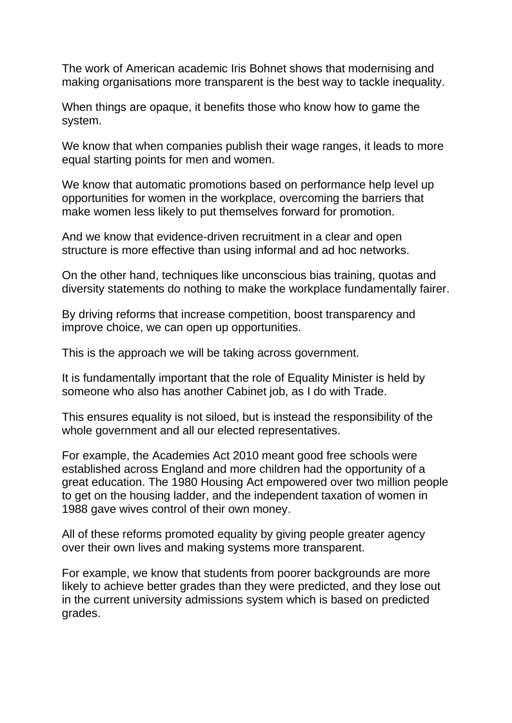The work of American academic Iris Bohnet shows that modernising and making organisations more transparent is the best way to tackle inequality.

When things are opaque, it benefits those who know how to game the system.

We know that when companies publish their wage ranges, it leads to more equal starting points for men and women.

We know that automatic promotions based on performance help level up opportunities for women in the workplace, overcoming the barriers that make women less likely to put themselves forward for promotion.

And we know that evidence-driven recruitment in a clear and open structure is more effective than using informal and ad hoc networks.

On the other hand, techniques like unconscious bias training, quotas and diversity statements do nothing to make the workplace fundamentally fairer.

By driving reforms that increase competition, boost transparency and improve choice, we can open up opportunities.

This is the approach we will be taking across government.

It is fundamentally important that the role of Equality Minister is held by someone who also has another Cabinet job, as I do with Trade.

This ensures equality is not siloed, but is instead the responsibility of the whole government and all our elected representatives.

For example, the Academies Act 2010 meant good free schools were established across England and more children had the opportunity of a great education. The 1980 Housing Act empowered over two million people to get on the housing ladder, and the independent taxation of women in 1988 gave wives control of their own money.

All of these reforms promoted equality by giving people greater agency over their own lives and making systems more transparent.

For example, we know that students from poorer backgrounds are more likely to achieve better grades than they were predicted, and they lose out in the current university admissions system which is based on predicted grades.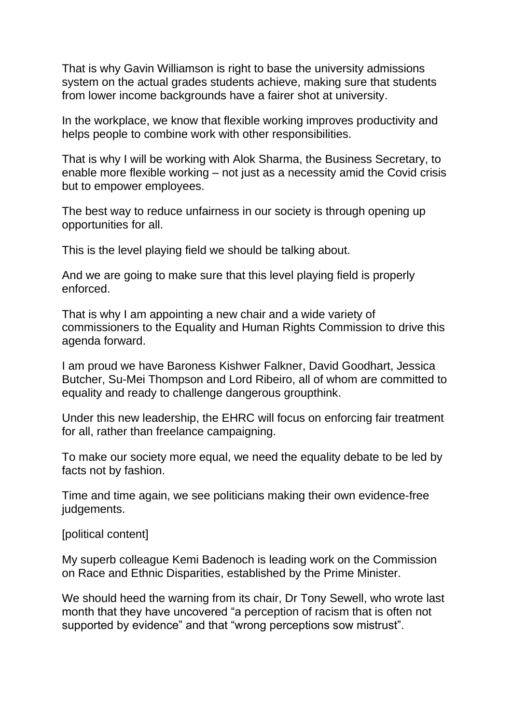That is why Gavin Williamson is right to base the university admissions system on the actual grades students achieve, making sure that students from lower income backgrounds have a fairer shot at university.

In the workplace, we know that flexible working improves productivity and helps people to combine work with other responsibilities.

That is why I will be working with Alok Sharma, the Business Secretary, to enable more flexible working – not just as a necessity amid the Covid crisis but to empower employees.

The best way to reduce unfairness in our society is through opening up opportunities for all.

This is the level playing field we should be talking about.

And we are going to make sure that this level playing field is properly enforced.

That is why I am appointing a new chair and a wide variety of commissioners to the Equality and Human Rights Commission to drive this agenda forward.

I am proud we have Baroness Kishwer Falkner, David Goodhart, Jessica Butcher, Su-Mei Thompson and Lord Ribeiro, all of whom are committed to equality and ready to challenge dangerous groupthink.

Under this new leadership, the EHRC will focus on enforcing fair treatment for all, rather than freelance campaigning.

To make our society more equal, we need the equality debate to be led by facts not by fashion.

Time and time again, we see politicians making their own evidence-free judgements.

[political content]

My superb colleague Kemi Badenoch is leading work on the Commission on Race and Ethnic Disparities, established by the Prime Minister.

We should heed the warning from its chair, Dr Tony Sewell, who wrote last month that they have uncovered "a perception of racism that is often not supported by evidence" and that "wrong perceptions sow mistrust".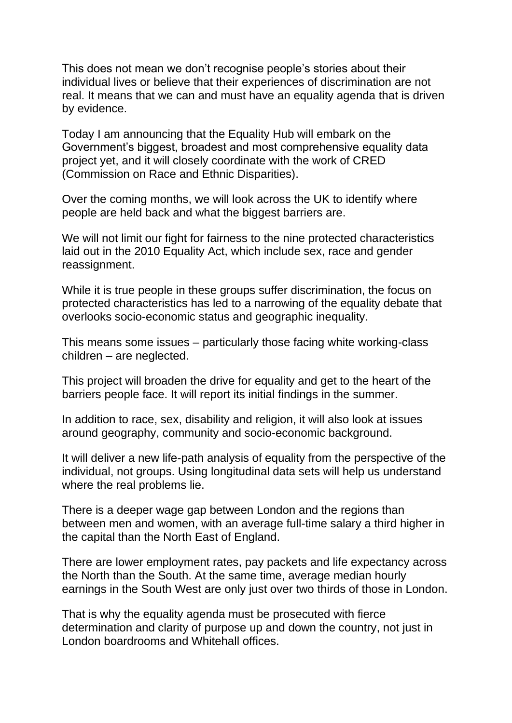This does not mean we don't recognise people's stories about their individual lives or believe that their experiences of discrimination are not real. It means that we can and must have an equality agenda that is driven by evidence.

Today I am announcing that the Equality Hub will embark on the Government's biggest, broadest and most comprehensive equality data project yet, and it will closely coordinate with the work of CRED (Commission on Race and Ethnic Disparities).

Over the coming months, we will look across the UK to identify where people are held back and what the biggest barriers are.

We will not limit our fight for fairness to the nine protected characteristics laid out in the 2010 Equality Act, which include sex, race and gender reassignment.

While it is true people in these groups suffer discrimination, the focus on protected characteristics has led to a narrowing of the equality debate that overlooks socio-economic status and geographic inequality.

This means some issues – particularly those facing white working-class children – are neglected.

This project will broaden the drive for equality and get to the heart of the barriers people face. It will report its initial findings in the summer.

In addition to race, sex, disability and religion, it will also look at issues around geography, community and socio-economic background.

It will deliver a new life-path analysis of equality from the perspective of the individual, not groups. Using longitudinal data sets will help us understand where the real problems lie.

There is a deeper wage gap between London and the regions than between men and women, with an average full-time salary a third higher in the capital than the North East of England.

There are lower employment rates, pay packets and life expectancy across the North than the South. At the same time, average median hourly earnings in the South West are only just over two thirds of those in London.

That is why the equality agenda must be prosecuted with fierce determination and clarity of purpose up and down the country, not just in London boardrooms and Whitehall offices.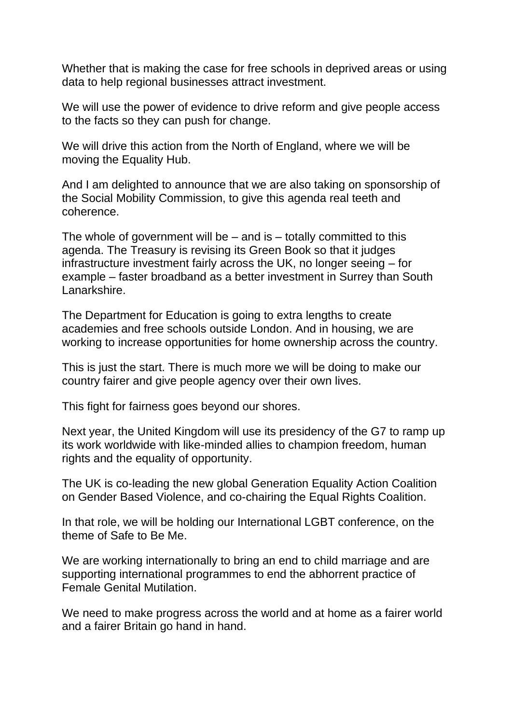Whether that is making the case for free schools in deprived areas or using data to help regional businesses attract investment.

We will use the power of evidence to drive reform and give people access to the facts so they can push for change.

We will drive this action from the North of England, where we will be moving the Equality Hub.

And I am delighted to announce that we are also taking on sponsorship of the Social Mobility Commission, to give this agenda real teeth and coherence.

The whole of government will be  $-$  and is  $-$  totally committed to this agenda. The Treasury is revising its Green Book so that it judges infrastructure investment fairly across the UK, no longer seeing – for example – faster broadband as a better investment in Surrey than South Lanarkshire.

The Department for Education is going to extra lengths to create academies and free schools outside London. And in housing, we are working to increase opportunities for home ownership across the country.

This is just the start. There is much more we will be doing to make our country fairer and give people agency over their own lives.

This fight for fairness goes beyond our shores.

Next year, the United Kingdom will use its presidency of the G7 to ramp up its work worldwide with like-minded allies to champion freedom, human rights and the equality of opportunity.

The UK is co-leading the new global Generation Equality Action Coalition on Gender Based Violence, and co-chairing the Equal Rights Coalition.

In that role, we will be holding our International LGBT conference, on the theme of Safe to Be Me.

We are working internationally to bring an end to child marriage and are supporting international programmes to end the abhorrent practice of Female Genital Mutilation.

We need to make progress across the world and at home as a fairer world and a fairer Britain go hand in hand.